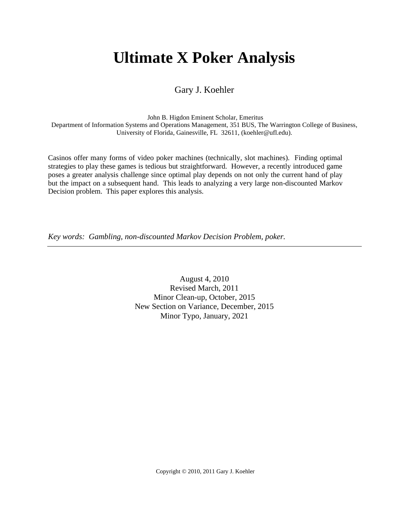# **Ultimate X Poker Analysis**

Gary J. Koehler

John B. Higdon Eminent Scholar, Emeritus

Department of Information Systems and Operations Management, 351 BUS, The Warrington College of Business, University of Florida, Gainesville, FL 32611, (koehler@ufl.edu).

Casinos offer many forms of video poker machines (technically, slot machines). Finding optimal strategies to play these games is tedious but straightforward. However, a recently introduced game poses a greater analysis challenge since optimal play depends on not only the current hand of play but the impact on a subsequent hand. This leads to analyzing a very large non-discounted Markov Decision problem. This paper explores this analysis.

*Key words: Gambling, non-discounted Markov Decision Problem, poker.*

August 4, 2010 Revised March, 2011 Minor Clean-up, October, 2015 New Section on Variance, December, 2015 Minor Typo, January, 2021

Copyright © 2010, 2011 Gary J. Koehler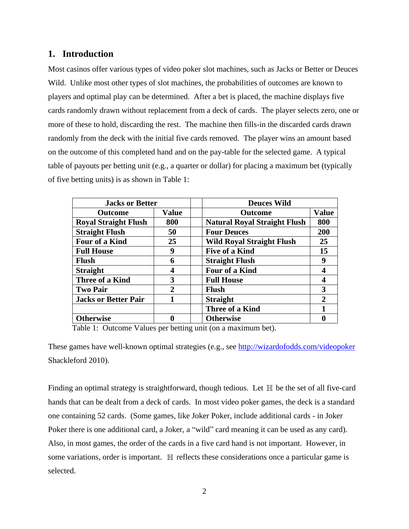## **1. Introduction**

Most casinos offer various types of video poker slot machines, such as Jacks or Better or Deuces Wild. Unlike most other types of slot machines, the probabilities of outcomes are known to players and optimal play can be determined. After a bet is placed, the machine displays five cards randomly drawn without replacement from a deck of cards. The player selects zero, one or more of these to hold, discarding the rest. The machine then fills-in the discarded cards drawn randomly from the deck with the initial five cards removed. The player wins an amount based on the outcome of this completed hand and on the pay-table for the selected game. A typical table of payouts per betting unit (e.g., a quarter or dollar) for placing a maximum bet (typically of five betting units) is as shown in Table 1:

| <b>Jacks or Better</b>      |              | <b>Deuces Wild</b>                  |                             |  |
|-----------------------------|--------------|-------------------------------------|-----------------------------|--|
| <b>Outcome</b>              | <b>Value</b> | <b>Value</b><br><b>Outcome</b>      |                             |  |
| <b>Royal Straight Flush</b> | 800          | <b>Natural Royal Straight Flush</b> | 800                         |  |
| <b>Straight Flush</b>       | 50           | <b>Four Deuces</b>                  | 200                         |  |
| Four of a Kind              | 25           | <b>Wild Royal Straight Flush</b>    | 25                          |  |
| <b>Full House</b>           | 9            | <b>Five of a Kind</b>               | 15                          |  |
| Flush                       | 6            | <b>Straight Flush</b>               | 9                           |  |
| <b>Straight</b>             | 4            | <b>Four of a Kind</b>               | 4                           |  |
| <b>Three of a Kind</b>      | 3            | <b>Full House</b>                   |                             |  |
| <b>Two Pair</b>             | $\mathbf 2$  | <b>Flush</b>                        | 3                           |  |
| <b>Jacks or Better Pair</b> |              | <b>Straight</b>                     | $\mathcal{D}_{\mathcal{L}}$ |  |
|                             |              | <b>Three of a Kind</b>              |                             |  |
| <b>Otherwise</b>            | 0            | <b>Otherwise</b>                    |                             |  |

Table 1: Outcome Values per betting unit (on a maximum bet).

These games have well-known optimal strategies (e.g., see<http://wizardofodds.com/videopoker> Shackleford 2010).

Finding an optimal strategy is straightforward, though tedious. Let  $\mathbb H$  be the set of all five-card hands that can be dealt from a deck of cards. In most video poker games, the deck is a standard one containing 52 cards. (Some games, like Joker Poker, include additional cards - in Joker Poker there is one additional card, a Joker, a "wild" card meaning it can be used as any card). Also, in most games, the order of the cards in a five card hand is not important. However, in some variations, order is important.  $\mathbb H$  reflects these considerations once a particular game is selected.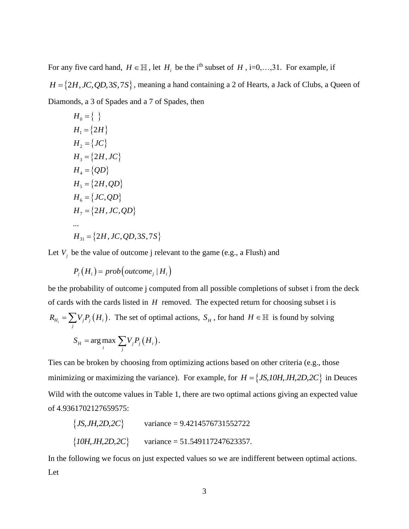For any five card hand,  $H \in \mathbb{H}$ , let  $H_i$  be the i<sup>th</sup> subset of  $H$ , i=0,...,31. For example, if  $H = \{2H, JC, QD, 3S, 7S\}$ , meaning a hand containing a 2 of Hearts, a Jack of Clubs, a Queen of Diamonds, a 3 of Spades and a 7 of Spades, then

$$
H_0 = \{ \}
$$
  
\n
$$
H_1 = \{2H\}
$$
  
\n
$$
H_2 = \{JC\}
$$
  
\n
$$
H_3 = \{2H, JC\}
$$
  
\n
$$
H_4 = \{QD\}
$$
  
\n
$$
H_5 = \{2H, QD\}
$$
  
\n
$$
H_6 = \{JC, QD\}
$$
  
\n
$$
H_7 = \{2H, JC, QD\}
$$
  
\n...  
\n
$$
H_{31} = \{2H, JC, QD, 3S, 7S\}
$$

Let  $V_j$  be the value of outcome j relevant to the game (e.g., a Flush) and

$$
P_j(H_i) = prob\left( outcome_j | H_i \right)
$$

be the probability of outcome j computed from all possible completions of subset i from the deck of cards with the cards listed in *H* removed. The expected return for choosing subset i is  $H_i = \sum_j V_j P_j(H_i)$  $R_{H_i} = \sum V_j P_j(H_i)$ . The set of optimal actions,  $S_H$ , for hand  $H \in \mathbb{H}$  is found by solving  $H_{H}$  = arg max  $\sum_{j} V_{j} P_{j} (H_{i})$  $S_H$  =  $\arg \max \sum V_j P_j(H_i)$ .

Ties can be broken by choosing from optimizing actions based on other criteria (e.g., those minimizing or maximizing the variance). For example, for  $H = \{JS, 10H, JH, 2D, 2C\}$  in Deuces Wild with the outcome values in Table 1, there are two optimal actions giving an expected value of 4.9361702127659575:

$$
{JS, JH, 2D, 2C}
$$
 variance = 9.4214576731552722  

$$
{JOH, JH, 2D, 2C}
$$
 variance = 51.549117247623357.

In the following we focus on just expected values so we are indifferent between optimal actions. Let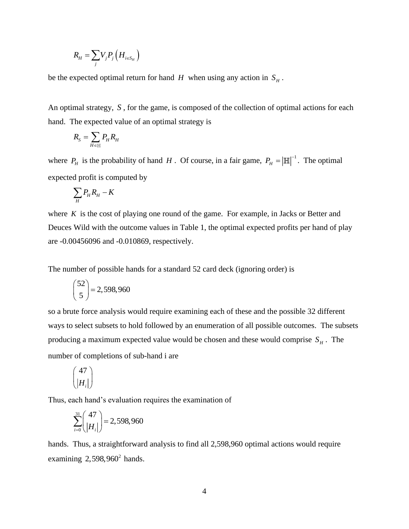$$
R_{H} = \sum_{j} V_{j} P_{j} \left( H_{i \in S_{H}} \right)
$$

be the expected optimal return for hand  $H$  when using any action in  $S_H$ .

An optimal strategy, *S* , for the game, is composed of the collection of optimal actions for each hand. The expected value of an optimal strategy is

$$
R_{\rm S}=\sum_{H\in\mathbb{H}}P_{\rm H}R_{\rm H}
$$

where  $P_H$  is the probability of hand H. Of course, in a fair game,  $P_H = |\mathbb{H}|^{-1}$ . The optimal expected profit is computed by

$$
\sum_{H} P_{H} R_{H} - K
$$

where  $K$  is the cost of playing one round of the game. For example, in Jacks or Better and Deuces Wild with the outcome values in Table 1, the optimal expected profits per hand of play are -0.00456096 and -0.010869, respectively.

The number of possible hands for a standard 52 card deck (ignoring order) is

$$
\binom{52}{5} = 2,598,960
$$

so a brute force analysis would require examining each of these and the possible 32 different ways to select subsets to hold followed by an enumeration of all possible outcomes. The subsets producing a maximum expected value would be chosen and these would comprise  $S_H$ . The number of completions of sub-hand i are

$$
\binom{47}{|H_i|}
$$

Thus, each hand's evaluation requires the examination of

$$
\sum_{i=0}^{31} \binom{47}{|H_i|} = 2,598,960
$$

hands. Thus, a straightforward analysis to find all 2,598,960 optimal actions would require examining  $2,598,960^2$  hands.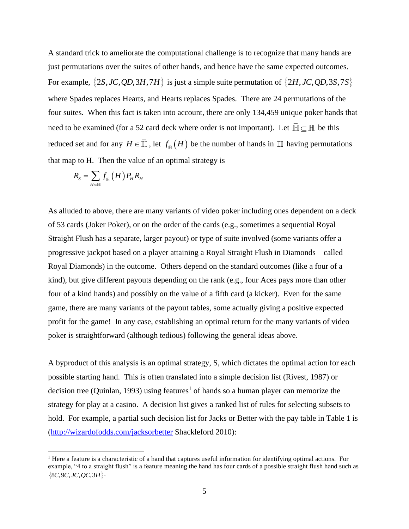A standard trick to ameliorate the computational challenge is to recognize that many hands are just permutations over the suites of other hands, and hence have the same expected outcomes. For example,  $\{2S, JC, QD, 3H, 7H\}$  is just a simple suite permutation of  $\{2H, JC, QD, 3S, 7S\}$ where Spades replaces Hearts, and Hearts replaces Spades. There are 24 permutations of the four suites. When this fact is taken into account, there are only 134,459 unique poker hands that need to be examined (for a 52 card deck where order is not important). Let  $\mathbb{H} \subseteq \mathbb{H}$  be this reduced set and for any  $H \in \overline{M}$ , let  $f_{\overline{M}}(H)$  be the number of hands in  $\mathbb H$  having permutations that map to H. Then the value of an optimal strategy is

$$
R_{\rm S}=\sum_{H\in\bar{\mathbb{H}}}f_{\bar{\mathbb{H}}}\left(H\right)P_{H}R_{H}
$$

As alluded to above, there are many variants of video poker including ones dependent on a deck of 53 cards (Joker Poker), or on the order of the cards (e.g., sometimes a sequential Royal Straight Flush has a separate, larger payout) or type of suite involved (some variants offer a progressive jackpot based on a player attaining a Royal Straight Flush in Diamonds – called Royal Diamonds) in the outcome. Others depend on the standard outcomes (like a four of a kind), but give different payouts depending on the rank (e.g., four Aces pays more than other four of a kind hands) and possibly on the value of a fifth card (a kicker). Even for the same game, there are many variants of the payout tables, some actually giving a positive expected profit for the game! In any case, establishing an optimal return for the many variants of video poker is straightforward (although tedious) following the general ideas above.

A byproduct of this analysis is an optimal strategy, S, which dictates the optimal action for each possible starting hand. This is often translated into a simple decision list (Rivest, 1987) or decision tree (Quinlan, 1993) using features<sup>1</sup> of hands so a human player can memorize the strategy for play at a casino. A decision list gives a ranked list of rules for selecting subsets to hold. For example, a partial such decision list for Jacks or Better with the pay table in Table 1 is [\(http://wizardofodds.com/jacksorbetter](http://wizardofodds.com/jacksorbetter) Shackleford 2010):

<sup>&</sup>lt;sup>1</sup> Here a feature is a characteristic of a hand that captures useful information for identifying optimal actions. For example, "4 to a straight flush" is a feature meaning the hand has four cards of a possible straight flush hand such as  ${8C, 9C, JC, OC, 3H}.$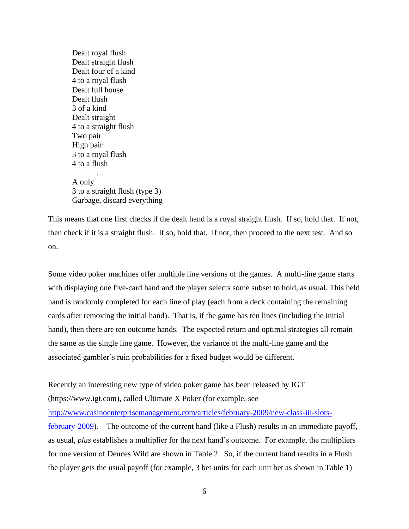Dealt royal flush Dealt straight flush Dealt four of a kind 4 to a royal flush Dealt full house Dealt flush 3 of a kind Dealt straight 4 to a straight flush Two pair High pair 3 to a royal flush 4 to a flush A only 3 to a straight flush (type 3) Garbage, discard everything

This means that one first checks if the dealt hand is a royal straight flush. If so, hold that. If not, then check if it is a straight flush. If so, hold that. If not, then proceed to the next test. And so on.

Some video poker machines offer multiple line versions of the games. A multi-line game starts with displaying one five-card hand and the player selects some subset to hold, as usual. This held hand is randomly completed for each line of play (each from a deck containing the remaining cards after removing the initial hand). That is, if the game has ten lines (including the initial hand), then there are ten outcome hands. The expected return and optimal strategies all remain the same as the single line game. However, the variance of the multi-line game and the associated gambler's ruin probabilities for a fixed budget would be different.

Recently an interesting new type of video poker game has been released by IGT (https://www.igt.com), called Ultimate X Poker (for example, see [http://www.casinoenterprisemanagement.com/articles/february-2009/new-class-iii-slots](http://www.casinoenterprisemanagement.com/articles/february-2009/new-class-iii-slots-february-2009)[february-2009\)](http://www.casinoenterprisemanagement.com/articles/february-2009/new-class-iii-slots-february-2009). The outcome of the current hand (like a Flush) results in an immediate payoff, as usual, *plus* establishes a multiplier for the next hand's outcome. For example, the multipliers for one version of Deuces Wild are shown in Table 2. So, if the current hand results in a Flush the player gets the usual payoff (for example, 3 bet units for each unit bet as shown in Table 1)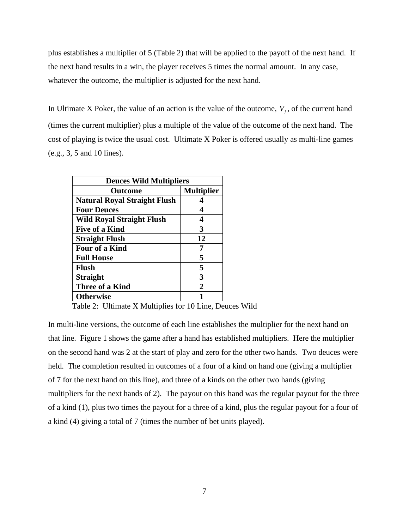plus establishes a multiplier of 5 (Table 2) that will be applied to the payoff of the next hand. If the next hand results in a win, the player receives 5 times the normal amount. In any case, whatever the outcome, the multiplier is adjusted for the next hand.

In Ultimate X Poker, the value of an action is the value of the outcome,  $V_j$ , of the current hand (times the current multiplier) plus a multiple of the value of the outcome of the next hand. The cost of playing is twice the usual cost. Ultimate X Poker is offered usually as multi-line games (e.g., 3, 5 and 10 lines).

| <b>Deuces Wild Multipliers</b>      |                   |  |
|-------------------------------------|-------------------|--|
| <b>Outcome</b>                      | <b>Multiplier</b> |  |
| <b>Natural Royal Straight Flush</b> |                   |  |
| <b>Four Deuces</b>                  | 4                 |  |
| <b>Wild Royal Straight Flush</b>    | 4                 |  |
| <b>Five of a Kind</b>               | 3                 |  |
| <b>Straight Flush</b>               | 12                |  |
| <b>Four of a Kind</b>               | 7                 |  |
| <b>Full House</b>                   | 5                 |  |
| <b>Flush</b>                        | 5                 |  |
| <b>Straight</b>                     | 3                 |  |
| <b>Three of a Kind</b>              | 2                 |  |
| <b>Otherwise</b>                    |                   |  |

Table 2: Ultimate X Multiplies for 10 Line, Deuces Wild

In multi-line versions, the outcome of each line establishes the multiplier for the next hand on that line. Figure 1 shows the game after a hand has established multipliers. Here the multiplier on the second hand was 2 at the start of play and zero for the other two hands. Two deuces were held. The completion resulted in outcomes of a four of a kind on hand one (giving a multiplier of 7 for the next hand on this line), and three of a kinds on the other two hands (giving multipliers for the next hands of 2). The payout on this hand was the regular payout for the three of a kind (1), plus two times the payout for a three of a kind, plus the regular payout for a four of a kind (4) giving a total of 7 (times the number of bet units played).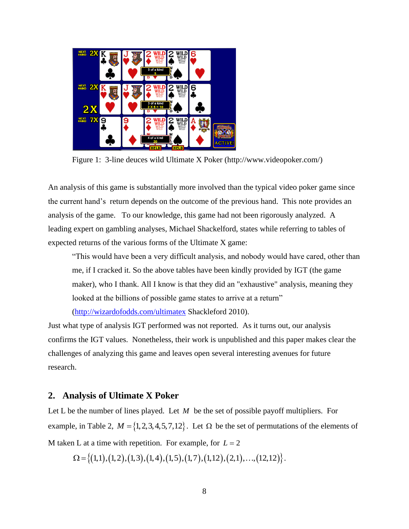

Figure 1: 3-line deuces wild Ultimate X Poker (http://www.videopoker.com/)

An analysis of this game is substantially more involved than the typical video poker game since the current hand's return depends on the outcome of the previous hand. This note provides an analysis of the game. To our knowledge, this game had not been rigorously analyzed. A leading expert on gambling analyses, Michael Shackelford, states while referring to tables of expected returns of the various forms of the Ultimate X game:

"This would have been a very difficult analysis, and nobody would have cared, other than me, if I cracked it. So the above tables have been kindly provided by IGT (the game maker), who I thank. All I know is that they did an "exhaustive" analysis, meaning they looked at the billions of possible game states to arrive at a return"

[\(http://wizardofodds.com/ultimatex](http://wizardofodds.com/ultimatex) Shackleford 2010).

Just what type of analysis IGT performed was not reported. As it turns out, our analysis confirms the IGT values. Nonetheless, their work is unpublished and this paper makes clear the challenges of analyzing this game and leaves open several interesting avenues for future research.

## **2. Analysis of Ultimate X Poker**

Let L be the number of lines played. Let  $M$  be the set of possible payoff multipliers. For example, in Table 2,  $M = \{1, 2, 3, 4, 5, 7, 12\}$ . Let  $\Omega$  be the set of permutations of the elements of M taken L at a time with repetition. For example, for  $L = 2$ 

 $\Omega = \{(1,1), (1,2), (1,3), (1,4), (1,5), (1,7), (1,12), (2,1), \ldots, (12,12)\}.$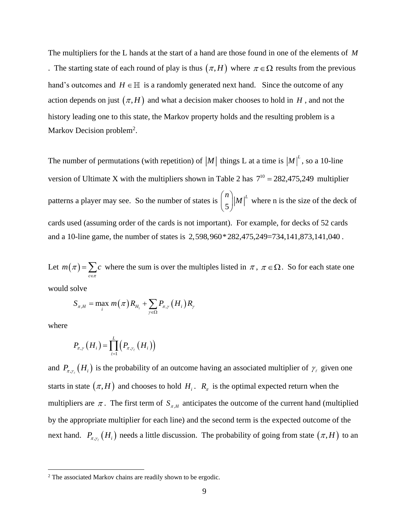The multipliers for the L hands at the start of a hand are those found in one of the elements of *M* . The starting state of each round of play is thus  $(\pi, H)$  where  $\pi \in \Omega$  results from the previous hand's outcomes and  $H \in \mathbb{H}$  is a randomly generated next hand. Since the outcome of any action depends on just  $(\pi, H)$  and what a decision maker chooses to hold in  $H$ , and not the history leading one to this state, the Markov property holds and the resulting problem is a Markov Decision problem<sup>2</sup>.

The number of permutations (with repetition) of  $|M|$  things L at a time is  $|M|^L$ , so a 10-line version of Ultimate X with the multipliers shown in Table 2 has  $7^{10} = 282,475,249$  multiplier patterns a player may see. So the number of states is  $\begin{bmatrix} 1 \\ 5 \end{bmatrix}$  $\binom{n}{5}$   $|M|^L$ where n is the size of the deck of cards used (assuming order of the cards is not important). For example, for decks of 52 cards and a 10-line game, the number of states is 2,598,960\*282,475,249=734,141,873,141,040 .

Let  $m(\pi) = \sum_{c}$  $m(\pi) = \sum c$  $=\sum_{c\in\pi}$  $\pi$ ) =  $\sum c$  where the sum is over the multiples listed in  $\pi$ ,  $\pi \in \Omega$ . So for each state one

would solve

$$
S_{\pi,H} = \max_i m(\pi) R_{H_i} + \sum_{\gamma \in \Omega} P_{\pi,\gamma} (H_i) R_{\gamma}
$$

where

$$
P_{\pi,\gamma}\left(H_i\right) = \prod_{\ell=1}^L \left(P_{\pi,\gamma_{\ell}}\left(H_i\right)\right)
$$

and  $P_{\pi,\gamma}(H_i)$  is the probability of an outcome having an associated multiplier of  $\gamma_i$  given one starts in state  $(\pi, H)$  and chooses to hold  $H_i$ .  $R_{\pi}$  is the optimal expected return when the multipliers are  $\pi$ . The first term of  $S_{\pi,H}$  anticipates the outcome of the current hand (multiplied by the appropriate multiplier for each line) and the second term is the expected outcome of the next hand.  $P_{\pi,\gamma}(H_i)$  needs a little discussion. The probability of going from state  $(\pi,H)$  to an

<sup>&</sup>lt;sup>2</sup> The associated Markov chains are readily shown to be ergodic.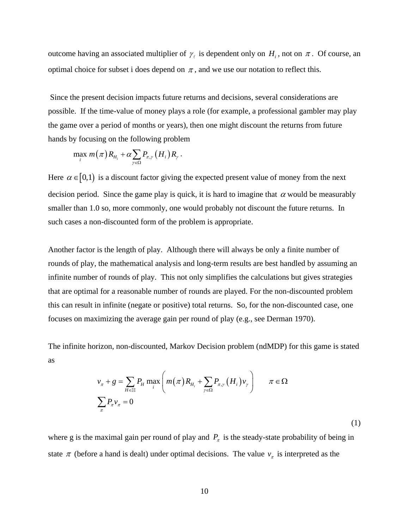outcome having an associated multiplier of  $\gamma_i$  is dependent only on  $H_i$ , not on  $\pi$ . Of course, an optimal choice for subset i does depend on  $\pi$ , and we use our notation to reflect this.

Since the present decision impacts future returns and decisions, several considerations are possible. If the time-value of money plays a role (for example, a professional gambler may play the game over a period of months or years), then one might discount the returns from future hands by focusing on the following problem

$$
\max_i m(\pi) R_{H_i} + \alpha \sum_{\gamma \in \Omega} P_{\pi,\gamma} (H_i) R_{\gamma}.
$$

Here  $\alpha \in [0,1)$  is a discount factor giving the expected present value of money from the next decision period. Since the game play is quick, it is hard to imagine that  $\alpha$  would be measurably smaller than 1.0 so, more commonly, one would probably not discount the future returns. In such cases a non-discounted form of the problem is appropriate.

Another factor is the length of play. Although there will always be only a finite number of rounds of play, the mathematical analysis and long-term results are best handled by assuming an infinite number of rounds of play. This not only simplifies the calculations but gives strategies that are optimal for a reasonable number of rounds are played. For the non-discounted problem this can result in infinite (negate or positive) total returns. So, for the non-discounted case, one focuses on maximizing the average gain per round of play (e.g., see Derman 1970).

The infinite horizon, non-discounted, Markov Decision problem (ndMDP) for this game is stated as

$$
v_{\pi} + g = \sum_{H \in \mathbb{H}} P_H \max_i \left( m(\pi) R_{H_i} + \sum_{\gamma \in \Omega} P_{\pi, \gamma} (H_i) v_{\gamma} \right) \qquad \pi \in \Omega
$$
  

$$
\sum_{\pi} P_{\pi} v_{\pi} = 0
$$
 (1)

where g is the maximal gain per round of play and  $P_{\pi}$  is the steady-state probability of being in state  $\pi$  (before a hand is dealt) under optimal decisions. The value  $v_{\pi}$  is interpreted as the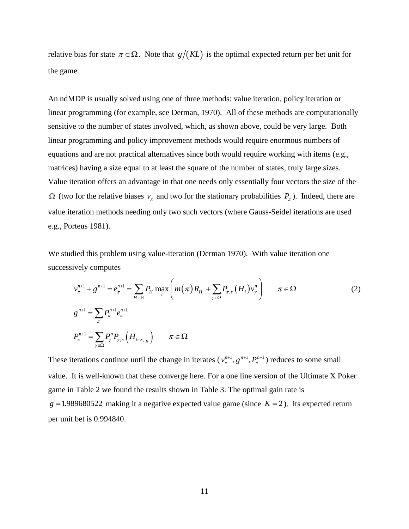relative bias for state  $\pi \in \Omega$ . Note that  $g/(KL)$  is the optimal expected return per bet unit for the game.

An ndMDP is usually solved using one of three methods: value iteration, policy iteration or linear programming (for example, see Derman, 1970). All of these methods are computationally sensitive to the number of states involved, which, as shown above, could be very large. Both linear programming and policy improvement methods would require enormous numbers of equations and are not practical alternatives since both would require working with items (e.g., matrices) having a size equal to at least the square of the number of states, truly large sizes. Value iteration offers an advantage in that one needs only essentially four vectors the size of the  $\Omega$  (two for the relative biases  $v_{\pi}$  and two for the stationary probabilities  $P_{\pi}$ ). Indeed, there are value iteration methods needing only two such vectors (where Gauss-Seidel iterations are used e.g., Porteus 1981).

We studied this problem using value-iteration (Derman 1970). With value iteration one successively computes

$$
v_{\pi}^{n+1} + g^{n+1} = e_{\pi}^{n+1} = \sum_{H \in \mathbb{H}} P_H \max_{i} \left( m(\pi) R_{H_i} + \sum_{\gamma \in \Omega} P_{\pi, \gamma} (H_i) v_{\gamma}^{n} \right) \qquad \pi \in \Omega
$$
  
\n
$$
g^{n+1} = \sum_{\pi} P_{\pi}^{n+1} e_{\pi}^{n+1}
$$
  
\n
$$
P_{\pi}^{n+1} = \sum_{\gamma \in \Omega} P_{\gamma}^{n} P_{\gamma, \pi} (H_{i \in S_{\gamma, H}}) \qquad \pi \in \Omega
$$
 (2)

These iterations continue until the change in iterates  $(v_n^{n+1}, g_{n+1}^{n+1}, P_n^{n+1})$  reduces to some small value. It is well-known that these converge here. For a one line version of the Ultimate X Poker game in Table 2 we found the results shown in Table 3. The optimal gain rate is  $g = 1.989680522$  making it a negative expected value game (since  $K = 2$ ). Its expected return per unit bet is 0.994840.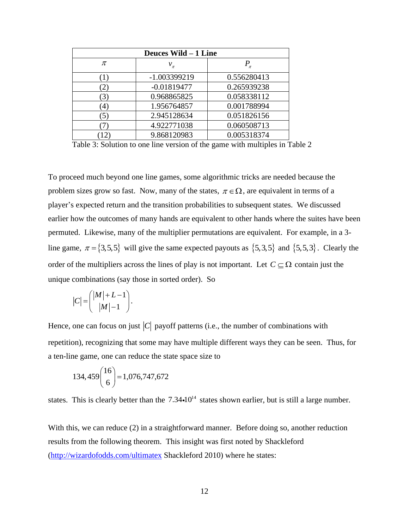| Deuces Wild - 1 Line |               |             |  |
|----------------------|---------------|-------------|--|
| π                    | $v_{\pi}$     | $P_{\pi}$   |  |
|                      | -1.003399219  | 0.556280413 |  |
| 2,                   | $-0.01819477$ | 0.265939238 |  |
| (3)                  | 0.968865825   | 0.058338112 |  |
| $^{(4)}$             | 1.956764857   | 0.001788994 |  |
| $\mathfrak{S}$       | 2.945128634   | 0.051826156 |  |
|                      | 4.922771038   | 0.060508713 |  |
|                      | 9.868120983   | 0.005318374 |  |

Table 3: Solution to one line version of the game with multiples in Table 2

To proceed much beyond one line games, some algorithmic tricks are needed because the problem sizes grow so fast. Now, many of the states,  $\pi \in \Omega$ , are equivalent in terms of a player's expected return and the transition probabilities to subsequent states. We discussed earlier how the outcomes of many hands are equivalent to other hands where the suites have been permuted. Likewise, many of the multiplier permutations are equivalent. For example, in a 3 line game,  $\pi = \{3, 5, 5\}$  will give the same expected payouts as  $\{5, 3, 5\}$  and  $\{5, 5, 3\}$ . Clearly the order of the multipliers across the lines of play is not important. Let  $C \subseteq \Omega$  contain just the unique combinations (say those in sorted order). So

$$
|C| = \binom{|M|+L-1}{|M|-1}.
$$

Hence, one can focus on just  $|C|$  payoff patterns (i.e., the number of combinations with repetition), recognizing that some may have multiple different ways they can be seen. Thus, for a ten-line game, one can reduce the state space size to

$$
134,459\binom{16}{6} = 1,076,747,672
$$

states. This is clearly better than the  $7.34 \cdot 10^{14}$  states shown earlier, but is still a large number.

With this, we can reduce (2) in a straightforward manner. Before doing so, another reduction results from the following theorem. This insight was first noted by Shackleford [\(http://wizardofodds.com/ultimatex](http://wizardofodds.com/ultimatex) Shackleford 2010) where he states: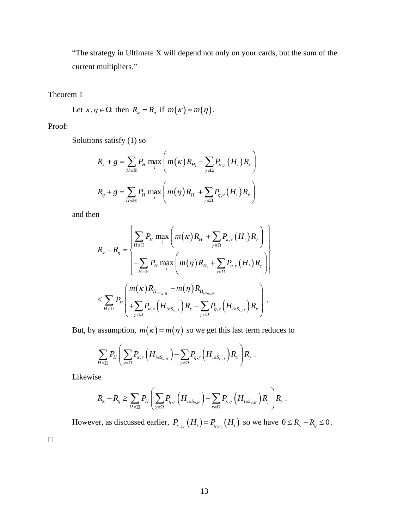"The strategy in Ultimate X will depend not only on your cards, but the sum of the current multipliers."

Theorem 1

Let  $\kappa, \eta \in \Omega$  then  $R_{\kappa} = R_{\eta}$  if  $m(\kappa) = m(\eta)$ .

Proof:

Solutions satisfy (1) so

$$
R_{\kappa} + g = \sum_{H \in \mathbb{H}} P_H \max_i \left( m(\kappa) R_{H_i} + \sum_{\gamma \in \Omega} P_{\kappa, \gamma} (H_i) R_{\gamma} \right)
$$
  

$$
R_{\eta} + g = \sum_{H \in \mathbb{H}} P_H \max_i \left( m(\eta) R_{H_i} + \sum_{\gamma \in \Omega} P_{\eta, \gamma} (H_i) R_{\gamma} \right)
$$

and then

$$
R_{\kappa} - R_{\eta} = \begin{cases} \sum_{H \in \mathbb{H}} P_{H} \max_{i} \left( m(\kappa) R_{H_{i}} + \sum_{\gamma \in \Omega} P_{\kappa, \gamma} (H_{i}) R_{\gamma} \right) \\ - \sum_{H \in \mathbb{H}} P_{H} \max_{i} \left( m(\eta) R_{H_{i}} + \sum_{\gamma \in \Omega} P_{\eta, \gamma} (H_{i}) R_{\gamma} \right) \end{cases}
$$
  

$$
\leq \sum_{H \in \mathbb{H}} P_{H} \left( \sum_{\gamma \in \Omega} P_{\kappa, \gamma} (H_{i \in S_{\kappa, H}} - m(\eta) R_{H_{i \in S_{\kappa, H}}} - \sum_{\gamma \in \Omega} P_{\eta, \gamma} (H_{i \in S_{\kappa, H}}) R_{\gamma} \right).
$$

But, by assumption,  $m(\kappa) = m(\eta)$  so we get this last term reduces to

$$
\sum_{H \in \mathbb{H}} P_H \left( \sum_{\gamma \in \Omega} P_{\kappa,\gamma} \left( H_{i \in S_{\kappa,H}} \right) - \sum_{\gamma \in \Omega} P_{\eta,\gamma} \left( H_{i \in S_{\kappa,H}} \right) R_{\gamma} \right) R_{\gamma}.
$$

Likewise

$$
R_{\kappa} - R_{\eta} \geq \sum_{H \in \mathbb{H}} P_H \left( \sum_{\gamma \in \Omega} P_{\eta, \gamma} \left( H_{i \in S_{\eta, H}} \right) - \sum_{\gamma \in \Omega} P_{\kappa, \gamma} \left( H_{i \in S_{\kappa, H}} \right) R_{\gamma} \right) R_{\gamma}.
$$

However, as discussed earlier,  $P_{\kappa,\gamma}$   $(H_i) = P_{\eta,\gamma}$   $(H_i)$  so we have  $0 \le R_{\kappa} - R_{\eta} \le 0$ .

 $\Box$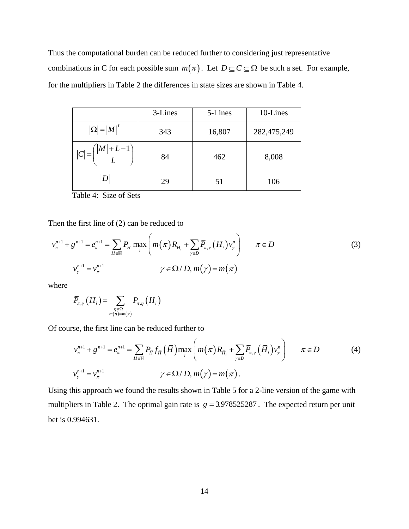Thus the computational burden can be reduced further to considering just representative combinations in C for each possible sum  $m(\pi)$ . Let  $D \subseteq C \subseteq \Omega$  be such a set. For example, for the multipliers in Table 2 the differences in state sizes are shown in Table 4.

|                                           | 3-Lines | 5-Lines | 10-Lines    |
|-------------------------------------------|---------|---------|-------------|
| $ \Omega  =  M ^L$                        | 343     | 16,807  | 282,475,249 |
| $ C  = { \mathcal{M}  + L - 1 \choose L}$ | 84      | 462     | 8,008       |
|                                           | 29      | 51      | 106         |

Table 4: Size of Sets

Then the first line of (2) can be reduced to

$$
v_{\pi}^{n+1} + g^{n+1} = e_{\pi}^{n+1} = \sum_{H \in \mathbb{H}} P_H \max_{i} \left( m(\pi) R_{H_i} + \sum_{\gamma \in D} \overline{P}_{\pi,\gamma} (H_i) v_{\gamma}^{n} \right) \qquad \pi \in D
$$
  

$$
v_{\gamma}^{n+1} = v_{\pi}^{n+1} \qquad \gamma \in \Omega / D, m(\gamma) = m(\pi)
$$
 (3)

where

$$
\overline{P}_{\pi,\gamma}\left(H_i\right) = \sum_{\substack{\eta \in \Omega \\ m(\eta) = m(\gamma)}} P_{\pi,\eta}\left(H_i\right)
$$

Of course, the first line can be reduced further to

$$
I_{\pi,\gamma}(H_i) = \sum_{\substack{\eta \in \Omega \\ m(\eta) = m(\gamma)}} I_{\pi,\eta}(H_i)
$$
  
\n
$$
\text{rse, the first line can be reduced further to}
$$
\n
$$
v_{\pi}^{n+1} + g^{n+1} = e_{\pi}^{n+1} = \sum_{\overline{H} \in \overline{\mathbb{H}}} P_{\overline{H}} f_{\overline{H}}(\overline{H}) \max_{i} \left( m(\pi) R_{\overline{H}_i} + \sum_{\gamma \in D} \overline{P}_{\pi,\gamma}(\overline{H}_i) v_{\gamma}^n \right) \qquad \pi \in D \tag{4}
$$
\n
$$
v_{\gamma}^{n+1} = v_{\pi}^{n+1} \qquad \gamma \in \Omega / D, m(\gamma) = m(\pi).
$$

Using this approach we found the results shown in Table 5 for a 2-line version of the game with multipliers in Table 2. The optimal gain rate is  $g = 3.978525287$ . The expected return per unit bet is 0.994631.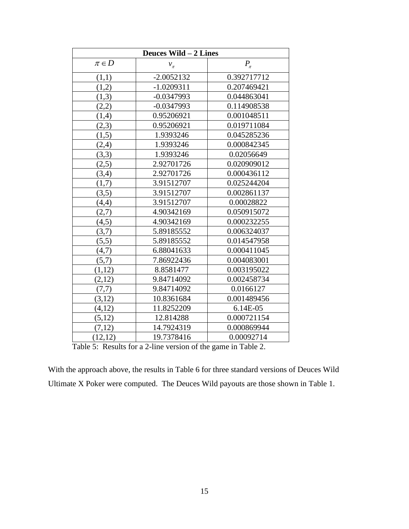| Deuces Wild - 2 Lines |              |             |  |
|-----------------------|--------------|-------------|--|
| $\pi \in D$           | $v_{\pi}$    | $P_{\pi}$   |  |
| (1,1)                 | $-2.0052132$ | 0.392717712 |  |
| (1,2)                 | $-1.0209311$ | 0.207469421 |  |
| (1,3)                 | $-0.0347993$ | 0.044863041 |  |
| (2,2)                 | $-0.0347993$ | 0.114908538 |  |
| (1,4)                 | 0.95206921   | 0.001048511 |  |
| (2,3)                 | 0.95206921   | 0.019711084 |  |
| (1,5)                 | 1.9393246    | 0.045285236 |  |
| (2,4)                 | 1.9393246    | 0.000842345 |  |
| (3,3)                 | 1.9393246    | 0.02056649  |  |
| (2,5)                 | 2.92701726   | 0.020909012 |  |
| (3,4)                 | 2.92701726   | 0.000436112 |  |
| (1,7)                 | 3.91512707   | 0.025244204 |  |
| (3,5)                 | 3.91512707   | 0.002861137 |  |
| (4,4)                 | 3.91512707   | 0.00028822  |  |
| (2,7)                 | 4.90342169   | 0.050915072 |  |
| (4,5)                 | 4.90342169   | 0.000232255 |  |
| (3,7)                 | 5.89185552   | 0.006324037 |  |
| (5,5)                 | 5.89185552   | 0.014547958 |  |
| (4,7)                 | 6.88041633   | 0.000411045 |  |
| (5,7)                 | 7.86922436   | 0.004083001 |  |
| (1,12)                | 8.8581477    | 0.003195022 |  |
| (2,12)                | 9.84714092   | 0.002458734 |  |
| (7,7)                 | 9.84714092   | 0.0166127   |  |
| (3,12)                | 10.8361684   | 0.001489456 |  |
| (4,12)                | 11.8252209   | 6.14E-05    |  |
| (5,12)                | 12.814288    | 0.000721154 |  |
| (7,12)                | 14.7924319   | 0.000869944 |  |
| (12,12)               | 19.7378416   | 0.00092714  |  |

Table 5: Results for a 2-line version of the game in Table 2.

With the approach above, the results in Table 6 for three standard versions of Deuces Wild Ultimate X Poker were computed. The Deuces Wild payouts are those shown in Table 1.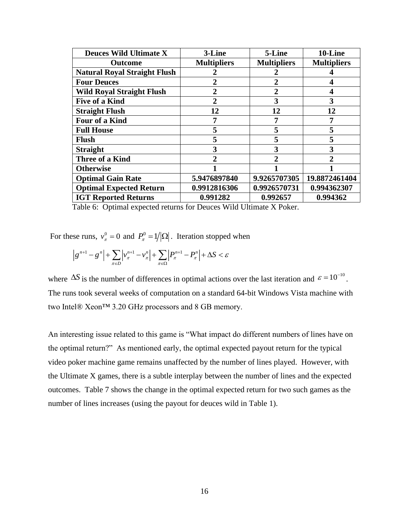| <b>Deuces Wild Ultimate X</b>       | 3-Line             | 5-Line             | 10-Line            |
|-------------------------------------|--------------------|--------------------|--------------------|
| <b>Outcome</b>                      | <b>Multipliers</b> | <b>Multipliers</b> | <b>Multipliers</b> |
| <b>Natural Royal Straight Flush</b> |                    | 2                  |                    |
| <b>Four Deuces</b>                  | $\overline{2}$     | $\overline{2}$     |                    |
| <b>Wild Royal Straight Flush</b>    | 2                  | $\overline{2}$     |                    |
| <b>Five of a Kind</b>               |                    | 3                  | 3                  |
| <b>Straight Flush</b>               | 12                 | 12                 | 12                 |
| Four of a Kind                      | 7                  | 7                  | 7                  |
| <b>Full House</b>                   | 5                  | 5                  | 5                  |
| <b>Flush</b>                        | 5                  | 5                  | 5                  |
| <b>Straight</b>                     | 3                  | 3                  | 3                  |
| <b>Three of a Kind</b>              | 2                  | $\mathfrak{D}$     |                    |
| <b>Otherwise</b>                    |                    |                    |                    |
| <b>Optimal Gain Rate</b>            | 5.9476897840       | 9.9265707305       | 19.8872461404      |
| <b>Optimal Expected Return</b>      | 0.9912816306       | 0.9926570731       | 0.994362307        |
| <b>IGT Reported Returns</b>         | 0.991282           | 0.992657           | 0.994362           |

Table 6: Optimal expected returns for Deuces Wild Ultimate X Poker.

For these runs,  $v_{\pi}^0 = 0$  and  $P_{\pi}^0 = 1/|\Omega|$ . Iteration stopped when

$$
\left|g^{n+1}-g^{n}\right|+\sum_{\pi\in D}\left|v_{\pi}^{n+1}-v_{\pi}^{n}\right|+\sum_{\pi\in \Omega}\left|P_{\pi}^{n+1}-P_{\pi}^{n}\right|+\Delta S<\varepsilon
$$

where  $\Delta S$  is the number of differences in optimal actions over the last iteration and  $\varepsilon = 10^{-10}$ . The runs took several weeks of computation on a standard 64-bit Windows Vista machine with two Intel® Xeon™ 3.20 GHz processors and 8 GB memory.

An interesting issue related to this game is "What impact do different numbers of lines have on the optimal return?" As mentioned early, the optimal expected payout return for the typical video poker machine game remains unaffected by the number of lines played. However, with the Ultimate X games, there is a subtle interplay between the number of lines and the expected outcomes. Table 7 shows the change in the optimal expected return for two such games as the number of lines increases (using the payout for deuces wild in Table 1).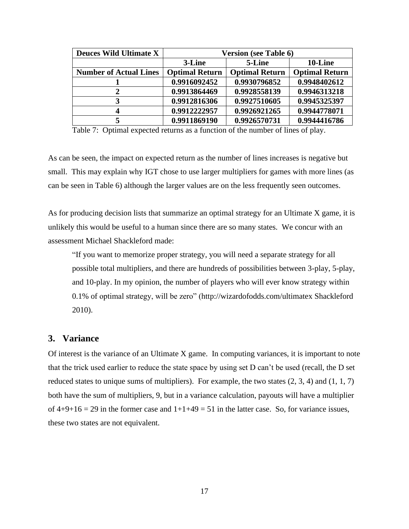| <b>Deuces Wild Ultimate X</b> | <b>Version (see Table 6)</b> |                       |                       |
|-------------------------------|------------------------------|-----------------------|-----------------------|
|                               | 3-Line                       | 5-Line                | 10-Line               |
| <b>Number of Actual Lines</b> | <b>Optimal Return</b>        | <b>Optimal Return</b> | <b>Optimal Return</b> |
|                               | 0.9916092452                 | 0.9930796852          | 0.9948402612          |
| 2                             | 0.9913864469                 | 0.9928558139          | 0.9946313218          |
|                               | 0.9912816306                 | 0.9927510605          | 0.9945325397          |
| 4                             | 0.9912222957                 | 0.9926921265          | 0.9944778071          |
|                               | 0.9911869190                 | 0.9926570731          | 0.9944416786          |

Table 7: Optimal expected returns as a function of the number of lines of play.

As can be seen, the impact on expected return as the number of lines increases is negative but small. This may explain why IGT chose to use larger multipliers for games with more lines (as can be seen in Table 6) although the larger values are on the less frequently seen outcomes.

As for producing decision lists that summarize an optimal strategy for an Ultimate X game, it is unlikely this would be useful to a human since there are so many states. We concur with an assessment Michael Shackleford made:

"If you want to memorize proper strategy, you will need a separate strategy for all possible total multipliers, and there are hundreds of possibilities between 3-play, 5-play, and 10-play. In my opinion, the number of players who will ever know strategy within 0.1% of optimal strategy, will be zero" [\(http://wizardofodds.com/ultimatex](http://wizardofodds.com/ultimatex) Shackleford 2010).

#### **3. Variance**

Of interest is the variance of an Ultimate X game. In computing variances, it is important to note that the trick used earlier to reduce the state space by using set D can't be used (recall, the D set reduced states to unique sums of multipliers). For example, the two states  $(2, 3, 4)$  and  $(1, 1, 7)$ both have the sum of multipliers, 9, but in a variance calculation, payouts will have a multiplier of  $4+9+16 = 29$  in the former case and  $1+1+49 = 51$  in the latter case. So, for variance issues, these two states are not equivalent.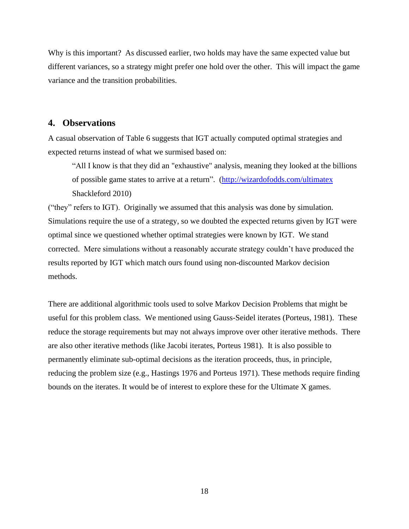Why is this important? As discussed earlier, two holds may have the same expected value but different variances, so a strategy might prefer one hold over the other. This will impact the game variance and the transition probabilities.

## **4. Observations**

A casual observation of Table 6 suggests that IGT actually computed optimal strategies and expected returns instead of what we surmised based on:

"All I know is that they did an "exhaustive" analysis, meaning they looked at the billions of possible game states to arrive at a return". [\(http://wizardofodds.com/ultimatex](http://wizardofodds.com/ultimatex) Shackleford 2010)

("they" refers to IGT). Originally we assumed that this analysis was done by simulation. Simulations require the use of a strategy, so we doubted the expected returns given by IGT were optimal since we questioned whether optimal strategies were known by IGT. We stand corrected. Mere simulations without a reasonably accurate strategy couldn't have produced the results reported by IGT which match ours found using non-discounted Markov decision methods.

There are additional algorithmic tools used to solve Markov Decision Problems that might be useful for this problem class. We mentioned using Gauss-Seidel iterates (Porteus, 1981). These reduce the storage requirements but may not always improve over other iterative methods. There are also other iterative methods (like Jacobi iterates, Porteus 1981). It is also possible to permanently eliminate sub-optimal decisions as the iteration proceeds, thus, in principle, reducing the problem size (e.g., Hastings 1976 and Porteus 1971). These methods require finding bounds on the iterates. It would be of interest to explore these for the Ultimate X games.